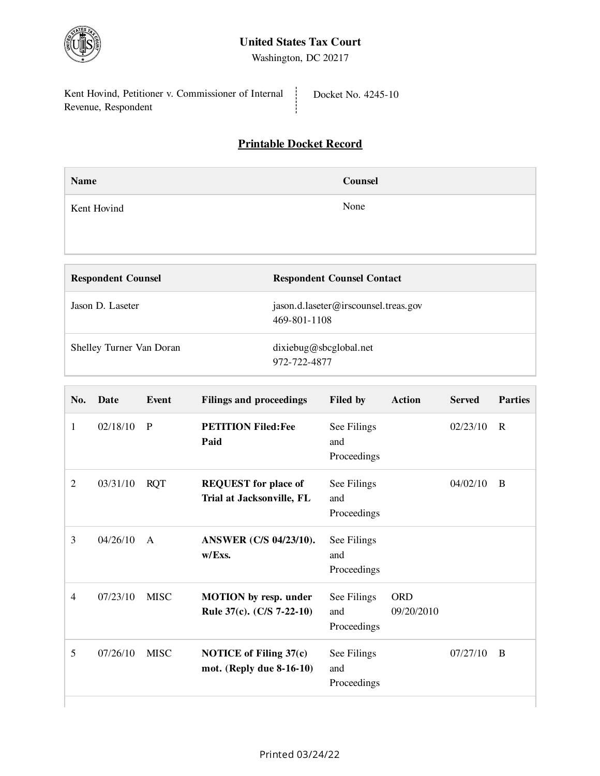

## United States Tax Court

Washington, DC 20217

Kent Hovind, Petitioner v. Commissioner of Internal Revenue, Respondent

Docket No. 4245-10

## Printable Docket Record

ŧ

| Name        | <b>Counsel</b> |
|-------------|----------------|
| Kent Hovind | None           |
|             |                |

| <b>Respondent Counsel</b> | <b>Respondent Counsel Contact</b>                    |
|---------------------------|------------------------------------------------------|
| Jason D. Laseter          | jason.d.laseter@irscounsel.treas.gov<br>469-801-1108 |
| Shelley Turner Van Doran  | dixiebug@sbcglobal.net<br>972-722-4877               |

| No.            | Date     | Event        | <b>Filings and proceedings</b>                            | Filed by                          | <b>Action</b>            | <b>Served</b> | <b>Parties</b> |
|----------------|----------|--------------|-----------------------------------------------------------|-----------------------------------|--------------------------|---------------|----------------|
| 1              | 02/18/10 | P            | <b>PETITION Filed: Fee</b><br>Paid                        | See Filings<br>and<br>Proceedings |                          | 02/23/10      | $\mathbf{R}$   |
| $\overline{2}$ | 03/31/10 | <b>RQT</b>   | <b>REQUEST</b> for place of<br>Trial at Jacksonville, FL  | See Filings<br>and<br>Proceedings |                          | 04/02/10      | B              |
| 3              | 04/26/10 | $\mathsf{A}$ | ANSWER (C/S 04/23/10).<br>w/Exs.                          | See Filings<br>and<br>Proceedings |                          |               |                |
| $\overline{4}$ | 07/23/10 | <b>MISC</b>  | <b>MOTION</b> by resp. under<br>Rule 37(c). (C/S 7-22-10) | See Filings<br>and<br>Proceedings | <b>ORD</b><br>09/20/2010 |               |                |
| 5              | 07/26/10 | <b>MISC</b>  | NOTICE of Filing $37(c)$<br>mot. (Reply due 8-16-10)      | See Filings<br>and<br>Proceedings |                          | 07/27/10      | B              |
|                |          |              |                                                           |                                   |                          |               |                |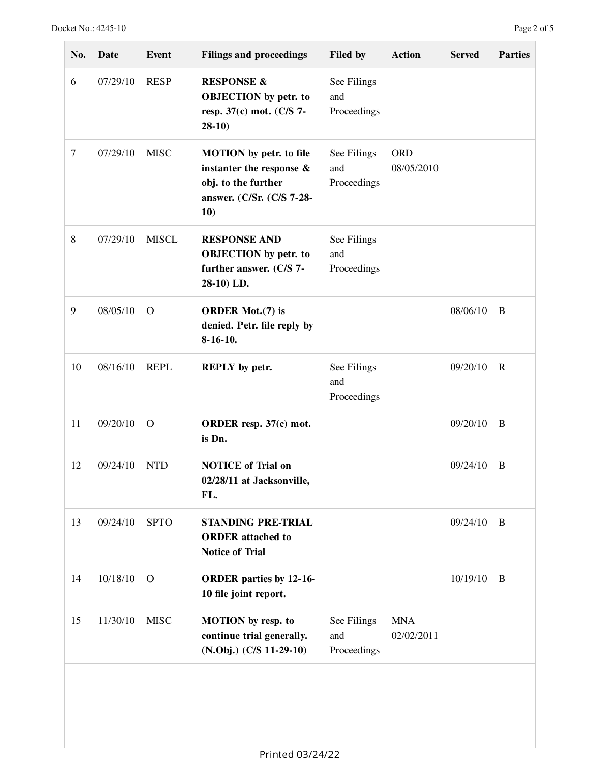| No. | Date     | Event        | <b>Filings and proceedings</b>                                                                                 | Filed by                          | <b>Action</b>            | <b>Served</b> | <b>Parties</b> |
|-----|----------|--------------|----------------------------------------------------------------------------------------------------------------|-----------------------------------|--------------------------|---------------|----------------|
| 6   | 07/29/10 | <b>RESP</b>  | <b>RESPONSE &amp;</b><br><b>OBJECTION</b> by petr. to<br>resp. 37(c) mot. (C/S 7-<br>$28-10$                   | See Filings<br>and<br>Proceedings |                          |               |                |
| 7   | 07/29/10 | <b>MISC</b>  | MOTION by petr. to file<br>instanter the response &<br>obj. to the further<br>answer. (C/Sr. (C/S 7-28-<br>10) | See Filings<br>and<br>Proceedings | <b>ORD</b><br>08/05/2010 |               |                |
| 8   | 07/29/10 | <b>MISCL</b> | <b>RESPONSE AND</b><br><b>OBJECTION</b> by petr. to<br>further answer. (C/S 7-<br>28-10) LD.                   | See Filings<br>and<br>Proceedings |                          |               |                |
| 9   | 08/05/10 | $\mathbf{O}$ | <b>ORDER Mot.(7)</b> is<br>denied. Petr. file reply by<br>$8-16-10.$                                           |                                   |                          | 08/06/10      | B              |
| 10  | 08/16/10 | <b>REPL</b>  | <b>REPLY</b> by petr.                                                                                          | See Filings<br>and<br>Proceedings |                          | 09/20/10      | R              |
| 11  | 09/20/10 | $\Omega$     | ORDER resp. 37(c) mot.<br>is Dn.                                                                               |                                   |                          | 09/20/10      | B              |
| 12  | 09/24/10 | <b>NTD</b>   | <b>NOTICE</b> of Trial on<br>02/28/11 at Jacksonville,<br>FL.                                                  |                                   |                          | 09/24/10      | B              |
| 13  | 09/24/10 | <b>SPTO</b>  | <b>STANDING PRE-TRIAL</b><br><b>ORDER</b> attached to<br><b>Notice of Trial</b>                                |                                   |                          | 09/24/10      | B              |
| 14  | 10/18/10 | $\mathbf{O}$ | <b>ORDER parties by 12-16-</b><br>10 file joint report.                                                        |                                   |                          | 10/19/10      | B              |
| 15  | 11/30/10 | <b>MISC</b>  | MOTION by resp. to<br>continue trial generally.<br>(N.Obj.) (C/S 11-29-10)                                     | See Filings<br>and<br>Proceedings | <b>MNA</b><br>02/02/2011 |               |                |
|     |          |              |                                                                                                                |                                   |                          |               |                |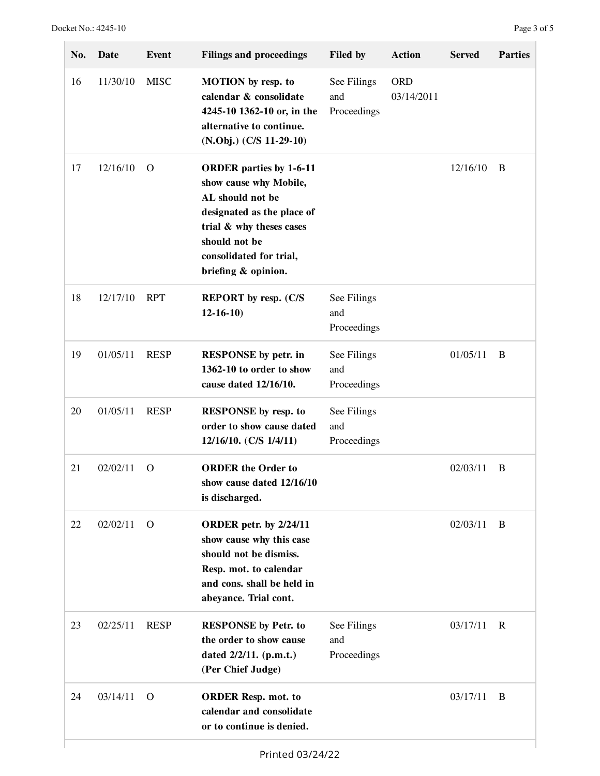| No. | Date     | Event        | <b>Filings and proceedings</b>                                                                                                                                                                            | Filed by                          | <b>Action</b>            | <b>Served</b> | <b>Parties</b> |
|-----|----------|--------------|-----------------------------------------------------------------------------------------------------------------------------------------------------------------------------------------------------------|-----------------------------------|--------------------------|---------------|----------------|
| 16  | 11/30/10 | <b>MISC</b>  | MOTION by resp. to<br>calendar & consolidate<br>4245-10 1362-10 or, in the<br>alternative to continue.<br>(N.Obj.) (C/S 11-29-10)                                                                         | See Filings<br>and<br>Proceedings | <b>ORD</b><br>03/14/2011 |               |                |
| 17  | 12/16/10 | $\Omega$     | <b>ORDER</b> parties by 1-6-11<br>show cause why Mobile,<br>AL should not be<br>designated as the place of<br>trial & why theses cases<br>should not be<br>consolidated for trial,<br>briefing & opinion. |                                   |                          | 12/16/10      | B              |
| 18  | 12/17/10 | <b>RPT</b>   | <b>REPORT</b> by resp. (C/S<br>$12 - 16 - 10$                                                                                                                                                             | See Filings<br>and<br>Proceedings |                          |               |                |
| 19  | 01/05/11 | <b>RESP</b>  | <b>RESPONSE</b> by petr. in<br>1362-10 to order to show<br>cause dated 12/16/10.                                                                                                                          | See Filings<br>and<br>Proceedings |                          | 01/05/11      | B              |
| 20  | 01/05/11 | <b>RESP</b>  | <b>RESPONSE</b> by resp. to<br>order to show cause dated<br>12/16/10. (C/S 1/4/11)                                                                                                                        | See Filings<br>and<br>Proceedings |                          |               |                |
| 21  | 02/02/11 | $\Omega$     | <b>ORDER</b> the Order to<br>show cause dated 12/16/10<br>is discharged.                                                                                                                                  |                                   |                          | 02/03/11      | B              |
| 22  | 02/02/11 | $\mathbf{O}$ | ORDER petr. by 2/24/11<br>show cause why this case<br>should not be dismiss.<br>Resp. mot. to calendar<br>and cons. shall be held in<br>abeyance. Trial cont.                                             |                                   |                          | 02/03/11      | B              |
| 23  | 02/25/11 | <b>RESP</b>  | <b>RESPONSE</b> by Petr. to<br>the order to show cause<br>dated 2/2/11. (p.m.t.)<br>(Per Chief Judge)                                                                                                     | See Filings<br>and<br>Proceedings |                          | 03/17/11      | R              |
| 24  | 03/14/11 | $\mathbf{O}$ | <b>ORDER Resp. mot. to</b><br>calendar and consolidate<br>or to continue is denied.                                                                                                                       |                                   |                          | 03/17/11      | B              |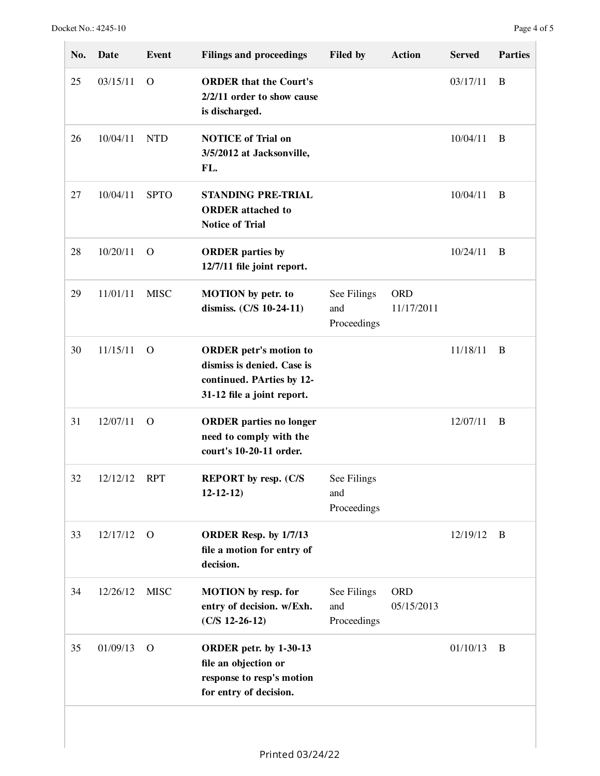| No. | Date     | Event        | <b>Filings and proceedings</b>                                                                                         | Filed by                          | <b>Action</b>            | <b>Served</b> | <b>Parties</b> |
|-----|----------|--------------|------------------------------------------------------------------------------------------------------------------------|-----------------------------------|--------------------------|---------------|----------------|
| 25  | 03/15/11 | $\Omega$     | <b>ORDER that the Court's</b><br>2/2/11 order to show cause<br>is discharged.                                          |                                   |                          | 03/17/11      | B              |
| 26  | 10/04/11 | <b>NTD</b>   | <b>NOTICE</b> of Trial on<br>3/5/2012 at Jacksonville,<br>FL.                                                          |                                   |                          | 10/04/11      | B              |
| 27  | 10/04/11 | <b>SPTO</b>  | <b>STANDING PRE-TRIAL</b><br><b>ORDER</b> attached to<br><b>Notice of Trial</b>                                        |                                   |                          | 10/04/11      | B              |
| 28  | 10/20/11 | $\Omega$     | <b>ORDER</b> parties by<br>12/7/11 file joint report.                                                                  |                                   |                          | 10/24/11      | B              |
| 29  | 11/01/11 | <b>MISC</b>  | <b>MOTION</b> by petr. to<br>dismiss. (C/S 10-24-11)                                                                   | See Filings<br>and<br>Proceedings | <b>ORD</b><br>11/17/2011 |               |                |
| 30  | 11/15/11 | $\mathbf{O}$ | <b>ORDER</b> petr's motion to<br>dismiss is denied. Case is<br>continued. PArties by 12-<br>31-12 file a joint report. |                                   |                          | 11/18/11      | B              |
| 31  | 12/07/11 | $\mathbf{O}$ | <b>ORDER</b> parties no longer<br>need to comply with the<br>court's 10-20-11 order.                                   |                                   |                          | 12/07/11      | B              |
| 32  | 12/12/12 | <b>RPT</b>   | <b>REPORT</b> by resp. (C/S<br>$12 - 12 - 12$                                                                          | See Filings<br>and<br>Proceedings |                          |               |                |
| 33  | 12/17/12 | $\Omega$     | ORDER Resp. by 1/7/13<br>file a motion for entry of<br>decision.                                                       |                                   |                          | 12/19/12      | B              |
| 34  | 12/26/12 | <b>MISC</b>  | <b>MOTION</b> by resp. for<br>entry of decision. w/Exh.<br>$(C/S 12-26-12)$                                            | See Filings<br>and<br>Proceedings | <b>ORD</b><br>05/15/2013 |               |                |
| 35  | 01/09/13 | $\Omega$     | ORDER petr. by 1-30-13<br>file an objection or<br>response to resp's motion<br>for entry of decision.                  |                                   |                          | 01/10/13      | B              |
|     |          |              |                                                                                                                        |                                   |                          |               |                |